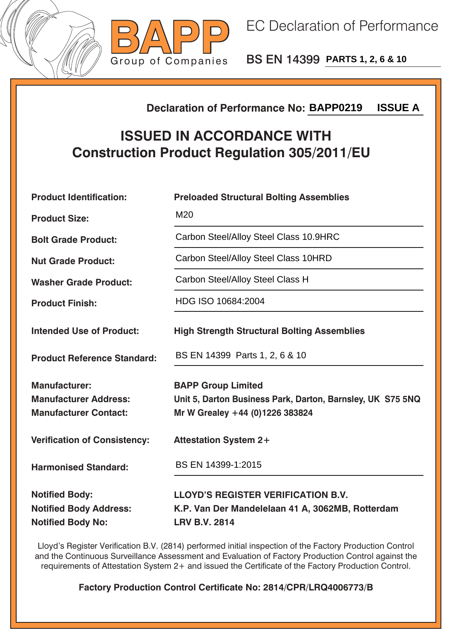



BS EN 14399 **PARTS 1, 2, 6 & 10**

## **Declaration of Performance No:**

## **ISSUED IN ACCORDANCE WITH Construction Product Regulation 305/2011/EU**

|                                                                                        | <b>ISSUE A</b><br><b>Declaration of Performance No: BAPP0219</b>                                                           |  |  |
|----------------------------------------------------------------------------------------|----------------------------------------------------------------------------------------------------------------------------|--|--|
| <b>ISSUED IN ACCORDANCE WITH</b><br><b>Construction Product Regulation 305/2011/EU</b> |                                                                                                                            |  |  |
| <b>Product Identification:</b>                                                         | <b>Preloaded Structural Bolting Assemblies</b>                                                                             |  |  |
| <b>Product Size:</b>                                                                   | M20                                                                                                                        |  |  |
| <b>Bolt Grade Product:</b>                                                             | Carbon Steel/Alloy Steel Class 10.9HRC                                                                                     |  |  |
| <b>Nut Grade Product:</b>                                                              | Carbon Steel/Alloy Steel Class 10HRD                                                                                       |  |  |
| <b>Washer Grade Product:</b>                                                           | Carbon Steel/Alloy Steel Class H                                                                                           |  |  |
| <b>Product Finish:</b>                                                                 | HDG ISO 10684:2004                                                                                                         |  |  |
| <b>Intended Use of Product:</b>                                                        | <b>High Strength Structural Bolting Assemblies</b>                                                                         |  |  |
| <b>Product Reference Standard:</b>                                                     | BS EN 14399 Parts 1, 2, 6 & 10                                                                                             |  |  |
| <b>Manufacturer:</b><br><b>Manufacturer Address:</b><br><b>Manufacturer Contact:</b>   | <b>BAPP Group Limited</b><br>Unit 5, Darton Business Park, Darton, Barnsley, UK S75 5NQ<br>Mr W Grealey +44 (0)1226 383824 |  |  |
| <b>Verification of Consistency:</b>                                                    | <b>Attestation System 2+</b>                                                                                               |  |  |
| <b>Harmonised Standard:</b>                                                            | BS EN 14399-1:2015                                                                                                         |  |  |
| <b>Notified Body:</b><br><b>Notified Body Address:</b><br><b>Notified Body No:</b>     | <b>LLOYD'S REGISTER VERIFICATION B.V.</b><br>K.P. Van Der Mandelelaan 41 A, 3062MB, Rotterdam<br><b>LRV B.V. 2814</b>      |  |  |

Lloyd's Register Verification B.V. (2814) performed initial inspection of the Factory Production Control and the Continuous Surveillance Assessment and Evaluation of Factory Production Control against the requirements of Attestation System 2+ and issued the Certificate of the Factory Production Control.

**Factory Production Control Certificate No: 2814/CPR/LRQ4006773/B**